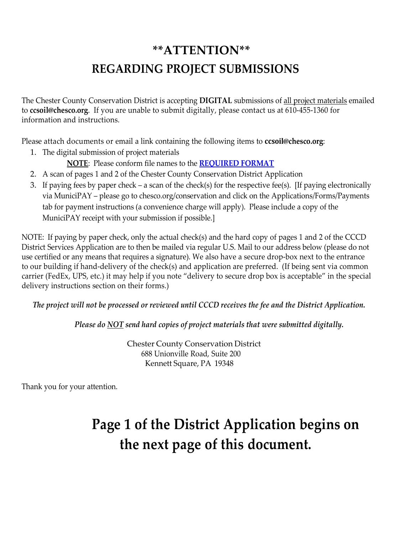## **\*\*ATTENTION\*\* REGARDING PROJECT SUBMISSIONS**

The Chester County Conservation District is accepting **DIGITAL** submissions of all project materials emailed to **ccsoil@chesco.org**. If you are unable to submit digitally, please contact us at 610-455-1360 for information and instructions.

Please attach documents or email a link containing the following items to **ccsoil[@chesco.org](mailto:ccsoil@chesco.org)**[:](mailto:ccsoil@chesco.org)

1. The digital submission of project materials

**NOTE**: Please conform file names to the **[REQUIRED FORMAT](https://www.chesco.org/DocumentCenter/View/65658/CCCD-Digital-Submissions-1-7-22)**

- 2. A scan of pages 1 and 2 of the Chester County Conservation District Application
- 3. If paying fees by paper check a scan of the check(s) for the respective fee(s). [If paying electronically via MuniciPAY – please go to chesco.org/conservation and click on the Applications/Forms/Payments tab for payment instructions (a convenience charge will apply). Please include a copy of the MuniciPAY receipt with your submission if possible.]

NOTE: If paying by paper check, only the actual check(s) and the hard copy of pages 1 and 2 of the CCCD District Services Application are to then be mailed via regular U.S. Mail to our address below (please do not use certified or any means that requires a signature). We also have a secure drop-box next to the entrance to our building if hand-delivery of the check(s) and application are preferred. (If being sent via common carrier (FedEx, UPS, etc.) it may help if you note "delivery to secure drop box is acceptable" in the special delivery instructions section on their forms.)

 *The project will not be processed or reviewed until CCCD receives the fee and the District Application.* 

 *Please do NOT send hard copies of project materials that were submitted digitally.*

 Chester County Conservation District 688 Unionville Road, Suite 200 Kennett Square, PA 19348

Thank you for your attention.

# **Page 1 of the District Application begins on the next page of this document.**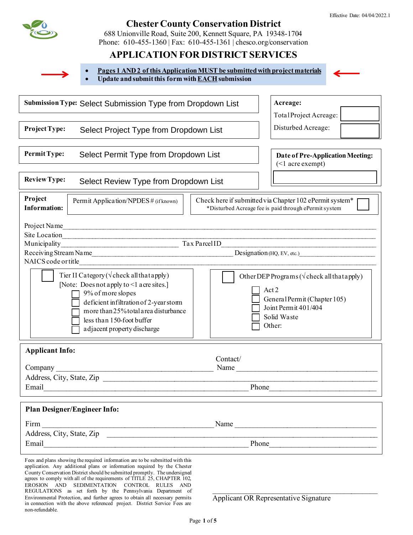

### **Chester County Conservation District**

688 Unionville Road, Suite 200, Kennett Square, PA 19348-1704 Phone: 610-455-1360 | Fax: 610-455-1361 | chesco.org/conservation

### **APPLICATION FOR DISTRICT SERVICES**

| Pages 1 AND 2 of this Application MUST be submitted with project materials |
|----------------------------------------------------------------------------|
| Update and submit this form with EACH submission                           |

**Submission Type:** Select Submission Type from Dropdown List

**ProjectType:** Select Project Type from Dropdown List

**PermitType:** 

Select Permit Type from Dropdown List

**ReviewType:**  Select Review Type from Dropdown List

**Project Information:**

Permit Application/NPDES # (if known)  $\vert$  Check here if submitted via Chapter 102 ePermit system\* \*Disturbed Acreage fee is paid through ePermit system

**Acreage:** 

Total Project Acreage: Disturbed Acreage:

(<1 acre exempt)

Other DEP Programs ( $\sqrt{\text{check}}$  all that apply)

General Permit (Chapter 105)

Joint Permit 401/404

Solid Waste Other:

**Date of Pre-Application Meeting:** 

### Project Name

Site Location Municipality\_\_\_\_\_\_\_\_\_\_\_\_\_\_\_\_\_\_\_\_\_\_\_\_\_\_\_\_\_\_\_\_\_\_\_ Tax Parcel ID\_\_\_\_\_\_\_\_\_\_\_\_\_\_\_\_\_\_\_\_\_\_\_\_\_\_\_\_\_\_\_\_\_\_\_\_\_\_\_\_\_\_\_\_\_\_

NAICS code or title

Receiving Stream Name Leading Stream Name Designation (HQ, EV, etc.)

Act 2

| Tier II Category ( $\sqrt{\text{check}}$ all that apply) |  |  |  |
|----------------------------------------------------------|--|--|--|
| [Note: Does not apply to $\leq$ 1 acre sites.]           |  |  |  |
| 9% of more slopes                                        |  |  |  |
| deficient infiltration of 2-year storm                   |  |  |  |
| more than 25% total area disturbance                     |  |  |  |
| less than 150-foot buffer                                |  |  |  |
| a djacent property discharge                             |  |  |  |

| <b>Applicant Info:</b>    |          |  |
|---------------------------|----------|--|
|                           | Contact/ |  |
| Company                   | Name     |  |
| Address, City, State, Zip |          |  |
| Email                     | Phone    |  |

| <b>Plan Designer/Engineer Info:</b> |       |
|-------------------------------------|-------|
| Firm                                | Name  |
| Address, City, State, Zip           |       |
| Email                               | Phone |
|                                     |       |

Fees and plans showing the required information are to be submitted with this application. Any additional plans or information required by the Chester County Conservation District should be submitted promptly. The undersigned agrees to comply with all of the requirements of TITLE 25, CHAPTER 102, EROSION AND SEDIMENTATION CONTROL RULES AND REGULATIONS as set forth by the Pennsylvania Department of Environmental Protection, and further agrees to obtain all necessary permits in connection with the above referenced project. District Service Fees are non-refundable.

Applicant OR Representative Signature

\_\_\_\_\_\_\_\_\_\_\_\_\_\_\_\_\_\_\_\_\_\_\_\_\_\_\_\_\_\_\_\_\_\_\_\_\_\_\_\_\_\_\_\_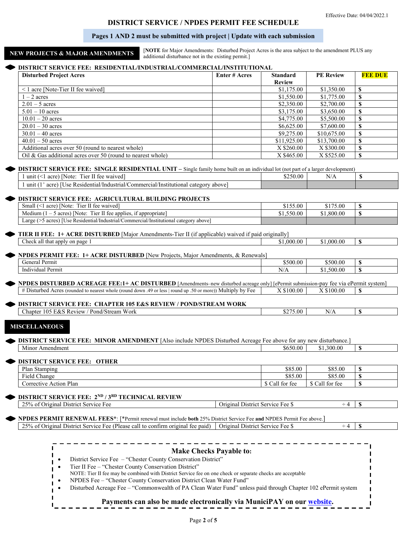### **DISTRICT SERVICE / NPDES PERMIT FEE SCHEDULE**

#### **Pages 1 AND 2 must be submitted with project | Update with each submission**

**NEW PROJECTS & MAJOR AMENDMENTS** [**NOTE** for Major Amendments: Disturbed Project Acres is the area subject to the amendment PLUS any additional disturbance not in the existing permit.]

#### **DISTRICT SERVICE FEE: RESIDENTIAL/INDUSTRIAL/COMMERCIAL/INSTITUTIONAL**

| <b>Disturbed Project Acres</b>                              | Enter # Acres | <b>Standard</b> | <b>PE Review</b> | <b>FEE DUE</b> |
|-------------------------------------------------------------|---------------|-----------------|------------------|----------------|
|                                                             |               | <b>Review</b>   |                  |                |
| $\leq$ 1 acre [Note-Tier II fee waived]                     |               | \$1,175.00      | \$1,350.00       | S              |
| $1 - 2$ acres                                               |               | \$1,550.00      | \$1,775.00       |                |
| $2.01 - 5$ acres                                            |               | \$2,350.00      | \$2,700.00       |                |
| $5.01 - 10$ acres                                           |               | \$3,175.00      | \$3,650.00       | S              |
| $10.01 - 20$ acres                                          |               | \$4,775.00      | \$5,500.00       |                |
| $20.01 - 30$ acres                                          |               | \$6,625.00      | \$7,600.00       |                |
| $30.01 - 40$ acres                                          |               | \$9,275.00      | \$10,675.00      | S              |
| $40.01 - 50$ acres                                          |               | \$11,925.00     | \$13,700.00      |                |
| Additional acres over 50 (round to nearest whole)           |               | X \$260.00      | X \$300.00       |                |
| Oil & Gas additional acres over 50 (round to nearest whole) |               | X \$465.00      | X \$525.00       | S              |

#### **DISTRICT SERVICE FEE: SINGLE RESIDENTIAL UNIT – Single family home built on an individual lot (not part of a larger development)**

| unit<br>acre<br>waived<br>Note:<br>i ler<br>tee                                                          | $n - n$<br>0.00<br>יור | .<br>N/r |  |
|----------------------------------------------------------------------------------------------------------|------------------------|----------|--|
| unit<br>acre<br>'Institutional<br>above<br>: Residential/Industrial/<br>م ع ا<br>:ommercial/<br>category |                        |          |  |

#### **DISTRICT SERVICE FEE: AGRICULTURAL BUILDING PROJECTS**

| Small<br>--<br>Tier h<br>acre)   Note:<br>l fee waivedl                                                                       | \$155.00   | \$175.00<br>JI 1 |  |
|-------------------------------------------------------------------------------------------------------------------------------|------------|------------------|--|
| $\overline{\phantom{a}}$<br>Note:<br>Medium (<br>l'ier II fee applies, if appropriate l<br>acres.<br>$\overline{\phantom{0}}$ | \$1,550.00 | .800.00          |  |
| s) [Use Residential/Industrial/Commercial/Institutional category above]<br>b acres<br>Large                                   |            |                  |  |

#### **TIER II FEE: 1+ ACRE DISTURBED** [Major Amendments-Tier II (if applicable) waived if paid originally] Check all that apply on page 1 \$1,000.00 \$1,000.00 **\$**

| $\frac{1}{2}$                                                                             | wi.vvv.vv | . <i></i> |  |
|-------------------------------------------------------------------------------------------|-----------|-----------|--|
|                                                                                           |           |           |  |
|                                                                                           |           |           |  |
|                                                                                           |           |           |  |
| • <b>NPDES PERMIT FEE: 1+ ACRE DISTURBED</b> [New Projects, Major Amendments, & Renewals] |           |           |  |
|                                                                                           |           |           |  |

| General<br>Permit                         | \$500.00 | \$500.00 |  |
|-------------------------------------------|----------|----------|--|
| $\sqrt{ }$<br>. .<br>Permit<br>Individual | N/A      | 1.500.00 |  |
|                                           |          |          |  |

**NPDES DISTURBED ACREAGE FEE:1+ AC DISTURBED** [Amendments–new disturbed acreage only] [ePermit submission-pay fee via ePermit system] # Disturbed Acres (rounded to nearest whole (round down .49 or less | round up .50 or more)) Multiply by Fee X \$100.00 X \$100.00 \ \$

### **DISTRICT SERVICE FEE: CHAPTER 105 E&S REVIEW / POND/STREAM WORK** Chapter 105 E&S Review / Pond/Stream Work \$275.00 N/A **\$**

### **MISCELLANEOUS**

| DISTRICT SERVICE FEE: MINOR AMENDMENT [Also include NPDES Disturbed Acreage Fee above for any new disturbance.] |  |          |         |  |
|-----------------------------------------------------------------------------------------------------------------|--|----------|---------|--|
| Minor Amendment                                                                                                 |  | \$650.00 | .300.00 |  |

#### **DISTRICT SERVICE FEE: OTHER**

I

| <u>222 - 222 - 222 - 222 - 222 - 222 - 222 - 2</u> |              |              |  |
|----------------------------------------------------|--------------|--------------|--|
| Plan Stamping                                      | \$85.00      | \$85.00      |  |
| <b>Field Change</b>                                | \$85.00      | \$85.00      |  |
| Corrective Action Plan                             | call for fee | Call for fee |  |

### **DISTRICT SERVICE FEE: 2ND / 3RD TECHNICAL REVIEW**

| 250<br>District $S$<br>Original<br>H A A<br>$.$ Service $\cdot$<br>ΩŤ<br>70 L<br>ェママ<br>_ _ | $'$ riginai.<br>District '<br>$-rvice$<br>$H \triangle \triangle$<br>التادي | . . |
|---------------------------------------------------------------------------------------------|-----------------------------------------------------------------------------|-----|
|                                                                                             |                                                                             |     |

**NPDES PERMIT RENEWAL FEES\***: [\*Permit renewal must include **both** 25% District Service Fee **and** NPDES Permit Fee above.]

25% of Original District Service Fee (Please call to confirm original fee paid) | Original District Service Fee \$  $\div 4$  | \$

### **Payments can also be made electronically via MuniciPAY on our [website.](https://www.chesco.org/282/Applications-Forms-Payments) Make Checks Payable to:** • District Service Fee – "Chester County Conservation District" • Tier II Fee – "Chester County Conservation District" NOTE: Tier II fee may be combined with District Service fee on one check or separate checks are acceptable • NPDES Fee – "Chester County Conservation District Clean Water Fund" • Disturbed Acreage Fee – "Commonwealth of PA Clean Water Fund" unless paid through Chapter 102 ePermit system

#### Page **2** of **5**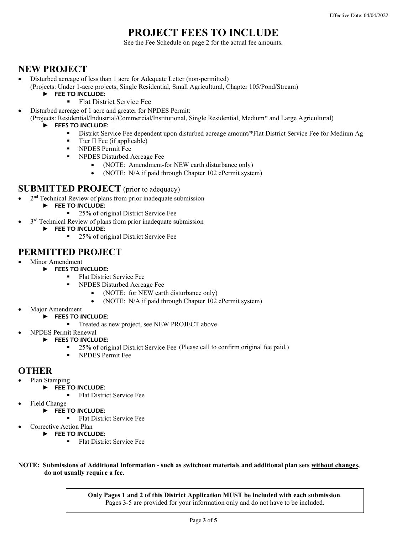## **PROJECT FEES TO INCLUDE**

See the Fee Schedule on page 2 for the actual fee amounts.

### **NEW PROJECT**

- Disturbed acreage of less than 1 acre for Adequate Letter (non-permitted)
	- (Projects: Under 1-acre projects, Single Residential, Small Agricultural, Chapter 105/Pond/Stream)
		- ► FEE TO INCLUDE:
			- Flat District Service Fee
- Disturbed acreage of 1 acre and greater for NPDES Permit:
- (Projects: Residential/Industrial/Commercial/Institutional, Single Residential, Medium\* and Large Agricultural)
	- ► FEES TO INCLUDE:
		- District Service Fee dependent upon disturbed acreage amount/\*Flat District Service Fee for Medium Ag
		- Tier II Fee (if applicable)
		- **NPDES Permit Fee**
		- NPDES Disturbed Acreage Fee
			- (NOTE: Amendment-for NEW earth disturbance only)
			- (NOTE: N/A if paid through Chapter 102 ePermit system)

### **SUBMITTED PROJECT** (prior to adequacy)

- 2<sup>nd</sup> Technical Review of plans from prior inadequate submission
	- ► FEE TO INCLUDE:
		- 25% of original District Service Fee
- 3<sup>rd</sup> Technical Review of plans from prior inadequate submission
- ► FEE TO INCLUDE:
	- 25% of original District Service Fee

### **PERMITTED PROJECT**

- Minor Amendment
	- ► FEES TO INCLUDE:
		- **Flat District Service Fee**
		- NPDES Disturbed Acreage Fee
			- (NOTE: for NEW earth disturbance only)
			- (NOTE: N/A if paid through Chapter 102 ePermit system)
- Major Amendment
	- ► FEES TO INCLUDE:
		- **Treated as new project, see NEW PROJECT above**
	- NPDES Permit Renewal
		- ► FEES TO INCLUDE:
			- **25%** of original District Service Fee (Please call to confirm original fee paid.)
			- **NPDES Permit Fee**

### **OTHER**

- Plan Stamping
	- ► FEE TO INCLUDE:
		- **Flat District Service Fee**
- Field Change
	- ► FEE TO INCLUDE:
		- **Flat District Service Fee**
- Corrective Action Plan
	- ► FEE TO INCLUDE:
		- **Flat District Service Fee**

**NOTE: Submissions of Additional Information - such as switchout materials and additional plan sets without changes, do not usually require a fee.**

> **Only Pages 1 and 2 of this District Application MUST be included with each submission**. Pages 3-5 are provided for your information only and do not have to be included.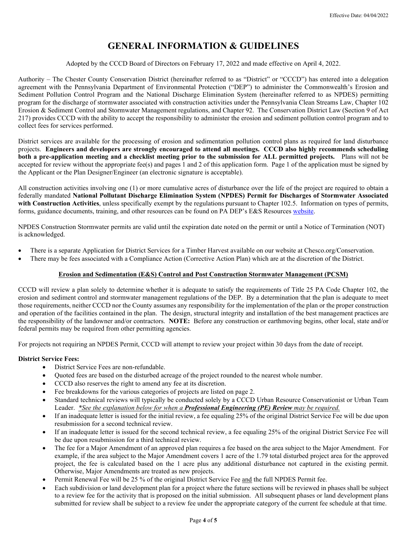### **GENERAL INFORMATION & GUIDELINES**

### Adopted by the CCCD Board of Directors on February 17, 2022 and made effective on April 4, 2022.

Authority – The Chester County Conservation District (hereinafter referred to as "District" or "CCCD") has entered into a delegation agreement with the Pennsylvania Department of Environmental Protection ("DEP") to administer the Commonwealth's Erosion and Sediment Pollution Control Program and the National Discharge Elimination System (hereinafter referred to as NPDES) permitting program for the discharge of stormwater associated with construction activities under the Pennsylvania Clean Streams Law, Chapter 102 Erosion & Sediment Control and Stormwater Management regulations, and Chapter 92. The Conservation District Law (Section 9 of Act 217) provides CCCD with the ability to accept the responsibility to administer the erosion and sediment pollution control program and to collect fees for services performed.

District services are available for the processing of erosion and sedimentation pollution control plans as required for land disturbance projects. **Engineers and developers are strongly encouraged to attend all meetings. CCCD also highly recommends scheduling both a pre-application meeting and a checklist meeting prior to the submission for ALL permitted projects.** Plans will not be accepted for review without the appropriate fee(s) and pages 1 and 2 of this application form. Page 1 of the application must be signed by the Applicant or the Plan Designer/Engineer (an electronic signature is acceptable).

All construction activities involving one (1) or more cumulative acres of disturbance over the life of the project are required to obtain a federally mandated **National Pollutant Discharge Elimination System (NPDES) Permit for Discharges of Stormwater Associated with Construction Activities**, unless specifically exempt by the regulations pursuant to Chapter 102.5. Information on types of permits, forms, guidance documents, training, and other resources can be found on PA DEP's E&S Resource[s website.](https://www.dep.pa.gov/Business/Water/CleanWater/StormwaterMgmt/Stormwater%20Construction/Pages/E-S%20Resources.aspx)

NPDES Construction Stormwater permits are valid until the expiration date noted on the permit or until a Notice of Termination (NOT) is acknowledged.

- There is a separate Application for District Services for a Timber Harvest available on our website at Chesco.org/Conservation.
- There may be fees associated with a Compliance Action (Corrective Action Plan) which are at the discretion of the District.

### **Erosion and Sedimentation (E&S) Control and Post Construction Stormwater Management (PCSM)**

CCCD will review a plan solely to determine whether it is adequate to satisfy the requirements of Title 25 PA Code Chapter 102, the erosion and sediment control and stormwater management regulations of the DEP. By a determination that the plan is adequate to meet those requirements, neither CCCD nor the County assumes any responsibility for the implementation of the plan or the proper construction and operation of the facilities contained in the plan. The design, structural integrity and installation of the best management practices are the responsibility of the landowner and/or contractors. **NOTE:** Before any construction or earthmoving begins, other local, state and/or federal permits may be required from other permitting agencies.

For projects not requiring an NPDES Permit, CCCD will attempt to review your project within 30 days from the date of receipt.

#### **District Service Fees:**

- District Service Fees are non-refundable.
- Quoted fees are based on the disturbed acreage of the project rounded to the nearest whole number.
- CCCD also reserves the right to amend any fee at its discretion.
- Fee breakdowns for the various categories of projects are listed on page 2.
- Standard technical reviews will typically be conducted solely by a CCCD Urban Resource Conservationist or Urban Team Leader. *\*See the explanation below for when a Professional Engineering (PE) Review may be required.*
- If an inadequate letter is issued for the initial review, a fee equaling 25% of the original District Service Fee will be due upon resubmission for a second technical review.
- If an inadequate letter is issued for the second technical review, a fee equaling 25% of the original District Service Fee will be due upon resubmission for a third technical review.
- The fee for a Major Amendment of an approved plan requires a fee based on the area subject to the Major Amendment. For example, if the area subject to the Major Amendment covers 1 acre of the 1.79 total disturbed project area for the approved project, the fee is calculated based on the 1 acre plus any additional disturbance not captured in the existing permit. Otherwise, Major Amendments are treated as new projects.
- Permit Renewal Fee will be 25 % of the original District Service Fee and the full NPDES Permit fee.
- Each subdivision or land development plan for a project where the future sections will be reviewed in phases shall be subject to a review fee for the activity that is proposed on the initial submission. All subsequent phases or land development plans submitted for review shall be subject to a review fee under the appropriate category of the current fee schedule at that time.